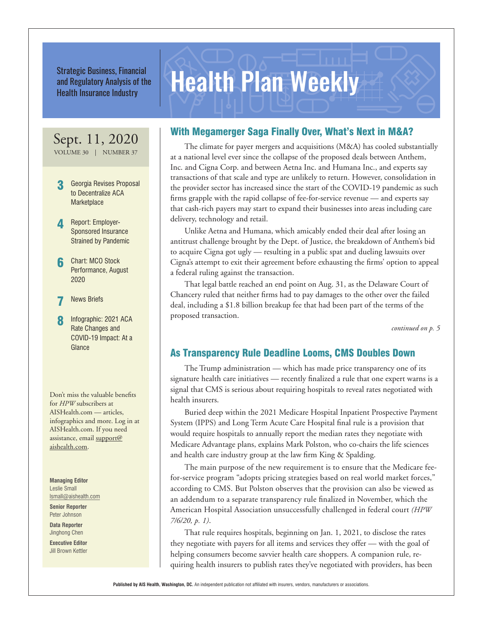Strategic Business, Financial<br>and Regulatory Analysis of the **Health Plan Weekly** and Regulatory Analysis of the Health Insurance Industry

# Sept. 11, 2020

VOLUME 30 | NUMBER 37

- Georgia Revises Proposal to Decentralize ACA **Marketplace**
- A Report: Employer-Sponsored Insurance Strained by Pandemic
- 6 Chart: MCO Stock Performance, August 2020
- **News Briefs**
- 8 Infographic: 2021 ACA Rate Changes and COVID-19 Impact: At a

Don't miss the valuable benefits for *HPW* subscribers at AISHealth.com — articles, infographics and more. Log in at AISHealth.com. If you need assistance, email support@ aishealth.com.

**Managing Editor** Leslie Small lsmall@aishealth.com

**Senior Reporter** Peter Johnson

**Data Reporter** Jinghong Chen

**Executive Editor** Jill Brown Kettler

## With Megamerger Saga Finally Over, What's Next in M&A?

The climate for payer mergers and acquisitions (M&A) has cooled substantially at a national level ever since the collapse of the proposed deals between Anthem, Inc. and Cigna Corp. and between Aetna Inc. and Humana Inc., and experts say transactions of that scale and type are unlikely to return. However, consolidation in the provider sector has increased since the start of the COVID-19 pandemic as such firms grapple with the rapid collapse of fee-for-service revenue — and experts say that cash-rich payers may start to expand their businesses into areas including care delivery, technology and retail.

Unlike Aetna and Humana, which amicably ended their deal after losing an antitrust challenge brought by the Dept. of Justice, the breakdown of Anthem's bid to acquire Cigna got ugly — resulting in a public spat and dueling lawsuits over Cigna's attempt to exit their agreement before exhausting the firms' option to appeal a federal ruling against the transaction.

That legal battle reached an end point on Aug. 31, as the Delaware Court of Chancery ruled that neither firms had to pay damages to the other over the failed deal, including a \$1.8 billion breakup fee that had been part of the terms of the proposed transaction.

*continued on p. 5*

## Glance **As Transparency Rule Deadline Looms, CMS Doubles Down**

The Trump administration — which has made price transparency one of its signature health care initiatives — recently finalized a rule that one expert warns is a signal that CMS is serious about requiring hospitals to reveal rates negotiated with health insurers.

Buried deep within the 2021 Medicare Hospital Inpatient Prospective Payment System (IPPS) and Long Term Acute Care Hospital final rule is a provision that would require hospitals to annually report the median rates they negotiate with Medicare Advantage plans, explains Mark Polston, who co-chairs the life sciences and health care industry group at the law firm King & Spalding.

The main purpose of the new requirement is to ensure that the Medicare feefor-service program "adopts pricing strategies based on real world market forces," according to CMS. But Polston observes that the provision can also be viewed as an addendum to a separate transparency rule finalized in November, which the American Hospital Association unsuccessfully challenged in federal court *(HPW 7/6/20, p. 1)*.

That rule requires hospitals, beginning on Jan. 1, 2021, to disclose the rates they negotiate with payers for all items and services they offer — with the goal of helping consumers become savvier health care shoppers. A companion rule, requiring health insurers to publish rates they've negotiated with providers, has been

**Published by AIS Health, Washington, DC.** An independent publication not affiliated with insurers, vendors, manufacturers or associations.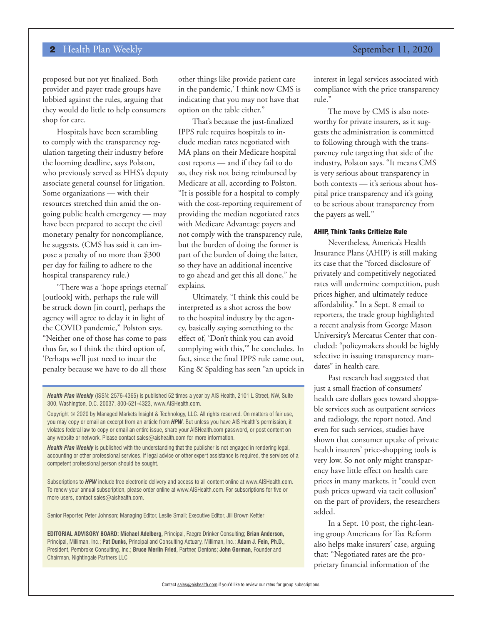proposed but not yet finalized. Both provider and payer trade groups have lobbied against the rules, arguing that they would do little to help consumers shop for care.

Hospitals have been scrambling to comply with the transparency regulation targeting their industry before the looming deadline, says Polston, who previously served as HHS's deputy associate general counsel for litigation. Some organizations — with their resources stretched thin amid the ongoing public health emergency — may have been prepared to accept the civil monetary penalty for noncompliance, he suggests. (CMS has said it can impose a penalty of no more than \$300 per day for failing to adhere to the hospital transparency rule.)

"There was a 'hope springs eternal' [outlook] with, perhaps the rule will be struck down [in court], perhaps the agency will agree to delay it in light of the COVID pandemic," Polston says. "Neither one of those has come to pass thus far, so I think the third option of, 'Perhaps we'll just need to incur the penalty because we have to do all these

other things like provide patient care in the pandemic,' I think now CMS is indicating that you may not have that option on the table either."

That's because the just-finalized IPPS rule requires hospitals to include median rates negotiated with MA plans on their Medicare hospital cost reports — and if they fail to do so, they risk not being reimbursed by Medicare at all, according to Polston. "It is possible for a hospital to comply with the cost-reporting requirement of providing the median negotiated rates with Medicare Advantage payers and not comply with the transparency rule, but the burden of doing the former is part of the burden of doing the latter, so they have an additional incentive to go ahead and get this all done," he explains.

Ultimately, "I think this could be interpreted as a shot across the bow to the hospital industry by the agency, basically saying something to the effect of, 'Don't think you can avoid complying with this,'" he concludes. In fact, since the final IPPS rule came out, King & Spalding has seen "an uptick in

*Health Plan Weekly* (ISSN: 2576-4365) is published 52 times a year by AIS Health, 2101 L Street, NW, Suite 300, Washington, D.C. 20037, 800-521-4323, www.AISHealth.com.

Copyright © 2020 by Managed Markets Insight & Technology, LLC. All rights reserved. On matters of fair use, you may copy or email an excerpt from an article from *HPW*. But unless you have AIS Health's permission, it violates federal law to copy or email an entire issue, share your AISHealth.com password, or post content on any website or network. Please contact sales@aishealth.com for more information.

*Health Plan Weekly* is published with the understanding that the publisher is not engaged in rendering legal, accounting or other professional services. If legal advice or other expert assistance is required, the services of a competent professional person should be sought.

Subscriptions to *HPW* include free electronic delivery and access to all content online at www.AISHealth.com. To renew your annual subscription, please order online at www.AISHealth.com. For subscriptions for five or more users, contact sales@aishealth.com.

Senior Reporter, Peter Johnson; Managing Editor, Leslie Small; Executive Editor, Jill Brown Kettler

**EDITORIAL ADVISORY BOARD: Michael Adelberg,** Principal, Faegre Drinker Consulting; **Brian Anderson,**  Principal, Milliman, Inc.; **Pat Dunks,** Principal and Consulting Actuary, Milliman, Inc.; **Adam J. Fein, Ph.D.,**  President, Pembroke Consulting, Inc.; **Bruce Merlin Fried,** Partner, Dentons; **John Gorman,** Founder and Chairman, Nightingale Partners LLC

interest in legal services associated with compliance with the price transparency rule."

The move by CMS is also noteworthy for private insurers, as it suggests the administration is committed to following through with the transparency rule targeting that side of the industry, Polston says. "It means CMS is very serious about transparency in both contexts — it's serious about hospital price transparency and it's going to be serious about transparency from the payers as well."

#### AHIP, Think Tanks Criticize Rule

Nevertheless, America's Health Insurance Plans (AHIP) is still making its case that the "forced disclosure of privately and competitively negotiated rates will undermine competition, push prices higher, and ultimately reduce affordability." In a Sept. 8 email to reporters, the trade group highlighted a recent analysis from George Mason University's Mercatus Center that concluded: "policymakers should be highly selective in issuing transparency mandates" in health care.

Past research had suggested that just a small fraction of consumers' health care dollars goes toward shoppable services such as outpatient services and radiology, the report noted. And even for such services, studies have shown that consumer uptake of private health insurers' price-shopping tools is very low. So not only might transparency have little effect on health care prices in many markets, it "could even push prices upward via tacit collusion" on the part of providers, the researchers added.

In a Sept. 10 post, the right-leaning group Americans for Tax Reform also helps make insurers' case, arguing that: "Negotiated rates are the proprietary financial information of the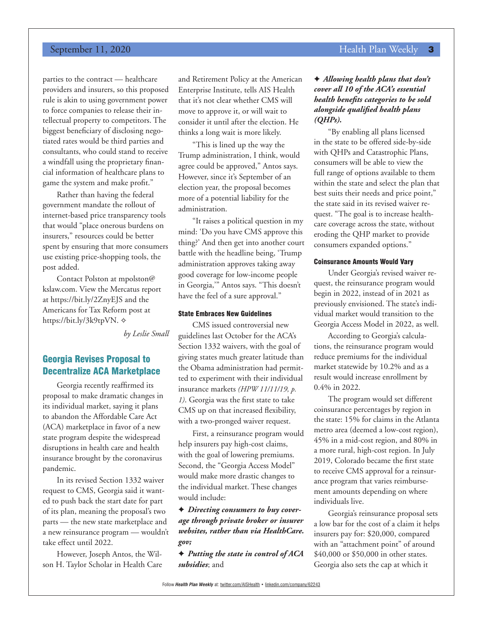#### September 11, 2020 **September 11, 2020 Health Plan Weekly 3**

parties to the contract — healthcare providers and insurers, so this proposed rule is akin to using government power to force companies to release their intellectual property to competitors. The biggest beneficiary of disclosing negotiated rates would be third parties and consultants, who could stand to receive a windfall using the proprietary financial information of healthcare plans to game the system and make profit."

Rather than having the federal government mandate the rollout of internet-based price transparency tools that would "place onerous burdens on insurers," resources could be better spent by ensuring that more consumers use existing price-shopping tools, the post added.

Contact Polston at mpolston@ kslaw.com. View the Mercatus report at https://bit.ly/2ZnyEJS and the Americans for Tax Reform post at https://bit.ly/3k9tpVN. ♦

*by Leslie Small*

#### Georgia Revises Proposal to Decentralize ACA Marketplace

Georgia recently reaffirmed its proposal to make dramatic changes in its individual market, saying it plans to abandon the Affordable Care Act (ACA) marketplace in favor of a new state program despite the widespread disruptions in health care and health insurance brought by the coronavirus pandemic.

In its revised Section 1332 waiver request to CMS, Georgia said it wanted to push back the start date for part of its plan, meaning the proposal's two parts — the new state marketplace and a new reinsurance program — wouldn't take effect until 2022.

However, Joseph Antos, the Wilson H. Taylor Scholar in Health Care and Retirement Policy at the American Enterprise Institute, tells AIS Health that it's not clear whether CMS will move to approve it, or will wait to consider it until after the election. He thinks a long wait is more likely.

"This is lined up the way the Trump administration, I think, would agree could be approved," Antos says. However, since it's September of an election year, the proposal becomes more of a potential liability for the administration.

"It raises a political question in my mind: 'Do you have CMS approve this thing?' And then get into another court battle with the headline being, 'Trump administration approves taking away good coverage for low-income people in Georgia,'" Antos says. "This doesn't have the feel of a sure approval."

#### State Embraces New Guidelines

CMS issued controversial new guidelines last October for the ACA's Section 1332 waivers, with the goal of giving states much greater latitude than the Obama administration had permitted to experiment with their individual insurance markets *(HPW 11/11/19, p. 1)*. Georgia was the first state to take CMS up on that increased flexibility, with a two-pronged waiver request.

First, a reinsurance program would help insurers pay high-cost claims, with the goal of lowering premiums. Second, the "Georgia Access Model" would make more drastic changes to the individual market. These changes would include:

✦ *Directing consumers to buy coverage through private broker or insurer websites, rather than via HealthCare. gov;*

✦ *Putting the state in control of ACA subsidies*; and

#### ✦ *Allowing health plans that don't cover all 10 of the ACA's essential health benefits categories to be sold alongside qualified health plans (QHPs).*

"By enabling all plans licensed in the state to be offered side-by-side with QHPs and Catastrophic Plans, consumers will be able to view the full range of options available to them within the state and select the plan that best suits their needs and price point," the state said in its revised waiver request. "The goal is to increase healthcare coverage across the state, without eroding the QHP market to provide consumers expanded options."

#### Coinsurance Amounts Would Vary

Under Georgia's revised waiver request, the reinsurance program would begin in 2022, instead of in 2021 as previously envisioned. The state's individual market would transition to the Georgia Access Model in 2022, as well.

According to Georgia's calculations, the reinsurance program would reduce premiums for the individual market statewide by 10.2% and as a result would increase enrollment by 0.4% in 2022.

The program would set different coinsurance percentages by region in the state: 15% for claims in the Atlanta metro area (deemed a low-cost region), 45% in a mid-cost region, and 80% in a more rural, high-cost region. In July 2019, Colorado became the first state to receive CMS approval for a reinsurance program that varies reimbursement amounts depending on where individuals live.

Georgia's reinsurance proposal sets a low bar for the cost of a claim it helps insurers pay for: \$20,000, compared with an "attachment point" of around \$40,000 or \$50,000 in other states. Georgia also sets the cap at which it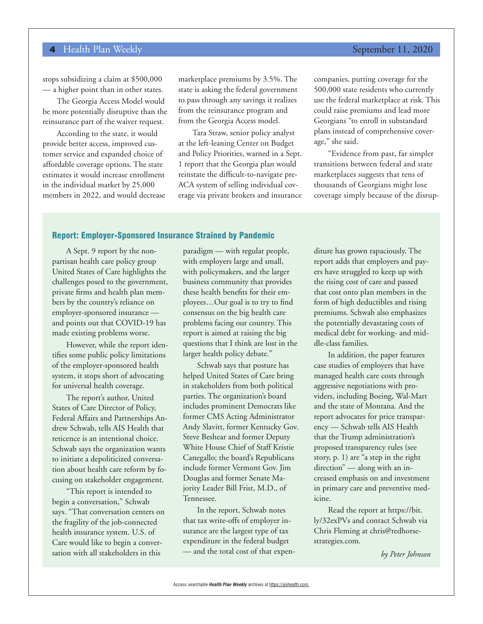stops subsidizing a claim at \$500,000 — a higher point than in other states.

The Georgia Access Model would be more potentially disruptive than the reinsurance part of the waiver request.

According to the state, it would provide better access, improved customer service and expanded choice of affordable coverage options. The state estimates it would increase enrollment in the individual market by 25,000 members in 2022, and would decrease

marketplace premiums by 3.5%. The state is asking the federal government to pass through any savings it realizes from the reinsurance program and from the Georgia Access model.

Tara Straw, senior policy analyst at the left-leaning Center on Budget and Policy Priorities, warned in a Sept. 1 report that the Georgia plan would reinstate the difficult-to-navigate pre-ACA system of selling individual coverage via private brokers and insurance companies, putting coverage for the 500,000 state residents who currently use the federal marketplace at risk. This could raise premiums and lead more Georgians "to enroll in substandard plans instead of comprehensive coverage," she said.

"Evidence from past, far simpler transitions between federal and state marketplaces suggests that tens of thousands of Georgians might lose coverage simply because of the disrup-

#### Report: Employer-Sponsored Insurance Strained by Pandemic

A Sept. 9 report by the nonpartisan health care policy group United States of Care highlights the challenges posed to the government, private firms and health plan members by the country's reliance on employer-sponsored insurance and points out that COVID-19 has made existing problems worse.

However, while the report identifies some public policy limitations of the employer-sponsored health system, it stops short of advocating for universal health coverage.

The report's author, United States of Care Director of Policy, Federal Affairs and Partnerships Andrew Schwab, tells AIS Health that reticence is an intentional choice. Schwab says the organization wants to initiate a depoliticized conversation about health care reform by focusing on stakeholder engagement.

"This report is intended to begin a conversation," Schwab says. "That conversation centers on the fragility of the job-connected health insurance system. U.S. of Care would like to begin a conversation with all stakeholders in this

paradigm — with regular people, with employers large and small, with policymakers, and the larger business community that provides these health benefits for their employees…Our goal is to try to find consensus on the big health care problems facing our country. This report is aimed at raising the big questions that I think are lost in the larger health policy debate."

Schwab says that posture has helped United States of Care bring in stakeholders from both political parties. The organization's board includes prominent Democrats like former CMS Acting Administrator Andy Slavitt, former Kentucky Gov. Steve Beshear and former Deputy White House Chief of Staff Kristie Canegallo; the board's Republicans include former Vermont Gov. Jim Douglas and former Senate Majority Leader Bill Frist, M.D., of Tennessee.

In the report, Schwab notes that tax write-offs of employer insurance are the largest type of tax expenditure in the federal budget — and the total cost of that expenditure has grown rapaciously. The report adds that employers and payers have struggled to keep up with the rising cost of care and passed that cost onto plan members in the form of high deductibles and rising premiums. Schwab also emphasizes the potentially devastating costs of medical debt for working- and middle-class families.

In addition, the paper features case studies of employers that have managed health care costs through aggressive negotiations with providers, including Boeing, Wal-Mart and the state of Montana. And the report advocates for price transparency — Schwab tells AIS Health that the Trump administration's proposed transparency rules (see story, p. 1) are "a step in the right direction" — along with an increased emphasis on and investment in primary care and preventive medicine.

Read the report at https://bit. ly/32exPVs and contact Schwab via Chris Fleming at chris@redhorsestrategies.com.

*by Peter Johnson*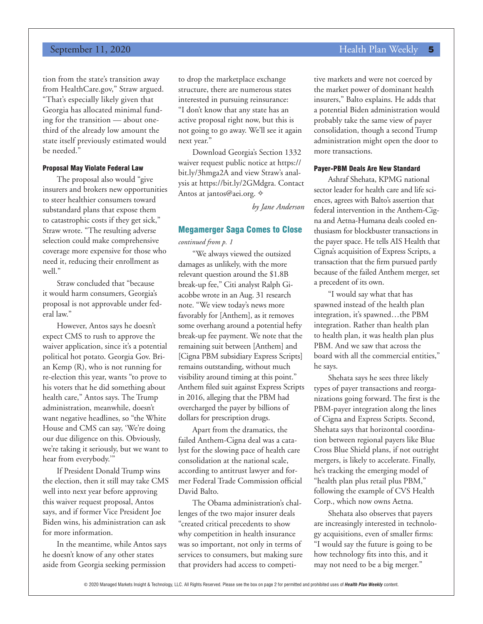## September 11, 2020 **Health Plan Weekly 5**

tion from the state's transition away from HealthCare.gov," Straw argued. "That's especially likely given that Georgia has allocated minimal funding for the transition — about onethird of the already low amount the state itself previously estimated would be needed."

#### Proposal May Violate Federal Law

The proposal also would "give insurers and brokers new opportunities to steer healthier consumers toward substandard plans that expose them to catastrophic costs if they get sick," Straw wrote. "The resulting adverse selection could make comprehensive coverage more expensive for those who need it, reducing their enrollment as well."

Straw concluded that "because it would harm consumers, Georgia's proposal is not approvable under federal law."

However, Antos says he doesn't expect CMS to rush to approve the waiver application, since it's a potential political hot potato. Georgia Gov. Brian Kemp (R), who is not running for re-election this year, wants "to prove to his voters that he did something about health care," Antos says. The Trump administration, meanwhile, doesn't want negative headlines, so "the White House and CMS can say, 'We're doing our due diligence on this. Obviously, we're taking it seriously, but we want to hear from everybody.'"

If President Donald Trump wins the election, then it still may take CMS well into next year before approving this waiver request proposal, Antos says, and if former Vice President Joe Biden wins, his administration can ask for more information.

In the meantime, while Antos says he doesn't know of any other states aside from Georgia seeking permission

to drop the marketplace exchange structure, there are numerous states interested in pursuing reinsurance: "I don't know that any state has an active proposal right now, but this is not going to go away. We'll see it again next year."

Download Georgia's Section 1332 waiver request public notice at https:// bit.ly/3hmga2A and view Straw's analysis at https://bit.ly/2GMdgra. Contact Antos at jantos@aei.org. G

*by Jane Anderson*

#### Megamerger Saga Comes to Close

*continued from p. 1*

"We always viewed the outsized damages as unlikely, with the more relevant question around the \$1.8B break-up fee," Citi analyst Ralph Giacobbe wrote in an Aug. 31 research note. "We view today's news more favorably for [Anthem], as it removes some overhang around a potential hefty break-up fee payment. We note that the remaining suit between [Anthem] and [Cigna PBM subsidiary Express Scripts] remains outstanding, without much visibility around timing at this point." Anthem filed suit against Express Scripts in 2016, alleging that the PBM had overcharged the payer by billions of dollars for prescription drugs.

Apart from the dramatics, the failed Anthem-Cigna deal was a catalyst for the slowing pace of health care consolidation at the national scale, according to antitrust lawyer and former Federal Trade Commission official David Balto.

The Obama administration's challenges of the two major insurer deals "created critical precedents to show why competition in health insurance was so important, not only in terms of services to consumers, but making sure that providers had access to competi-

# tive markets and were not coerced by

the market power of dominant health insurers," Balto explains. He adds that a potential Biden administration would probably take the same view of payer consolidation, though a second Trump administration might open the door to more transactions.

#### Payer-PBM Deals Are New Standard

Ashraf Shehata, KPMG national sector leader for health care and life sciences, agrees with Balto's assertion that federal intervention in the Anthem-Cigna and Aetna-Humana deals cooled enthusiasm for blockbuster transactions in the payer space. He tells AIS Health that Cigna's acquisition of Express Scripts, a transaction that the firm pursued partly because of the failed Anthem merger, set a precedent of its own.

"I would say what that has spawned instead of the health plan integration, it's spawned…the PBM integration. Rather than health plan to health plan, it was health plan plus PBM. And we saw that across the board with all the commercial entities," he says.

Shehata says he sees three likely types of payer transactions and reorganizations going forward. The first is the PBM-payer integration along the lines of Cigna and Express Scripts. Second, Shehata says that horizontal coordination between regional payers like Blue Cross Blue Shield plans, if not outright mergers, is likely to accelerate. Finally, he's tracking the emerging model of "health plan plus retail plus PBM," following the example of CVS Health Corp., which now owns Aetna.

Shehata also observes that payers are increasingly interested in technology acquisitions, even of smaller firms: "I would say the future is going to be how technology fits into this, and it may not need to be a big merger."

© 2020 Managed Markets Insight & Technology, LLC. All Rights Reserved. Please see the box on page 2 for permitted and prohibited uses of *Health Plan Weekly* content.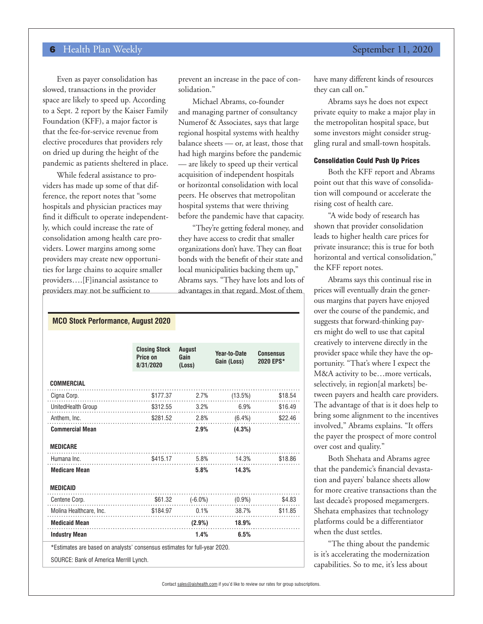#### Even as payer consolidation has slowed, transactions in the provider space are likely to speed up. According to a Sept. 2 report by the Kaiser Family Foundation (KFF), a major factor is that the fee-for-service revenue from elective procedures that providers rely on dried up during the height of the pandemic as patients sheltered in place.

While federal assistance to providers has made up some of that difference, the report notes that "some hospitals and physician practices may find it difficult to operate independently, which could increase the rate of consolidation among health care providers. Lower margins among some providers may create new opportunities for large chains to acquire smaller providers….[F]inancial assistance to providers may not be sufficient to

prevent an increase in the pace of consolidation."

Michael Abrams, co-founder and managing partner of consultancy Numerof & Associates, says that large regional hospital systems with healthy balance sheets — or, at least, those that had high margins before the pandemic — are likely to speed up their vertical acquisition of independent hospitals or horizontal consolidation with local peers. He observes that metropolitan hospital systems that were thriving before the pandemic have that capacity.

"They're getting federal money, and they have access to credit that smaller organizations don't have. They can float bonds with the benefit of their state and local municipalities backing them up," Abrams says. "They have lots and lots of advantages in that regard. Most of them

| <b>MCO Stock Performance, August 2020</b>                                 |                                                                     |                                 |                             |                                 |
|---------------------------------------------------------------------------|---------------------------------------------------------------------|---------------------------------|-----------------------------|---------------------------------|
|                                                                           |                                                                     |                                 |                             |                                 |
|                                                                           | <b>Closing Stock</b><br>Price on<br>8/31/2020                       | <b>August</b><br>Gain<br>(Loss) | Year-to-Date<br>Gain (Loss) | <b>Consensus</b><br>2020 EPS*   |
| COMMERCIAL                                                                |                                                                     |                                 |                             |                                 |
| Cigna Corp.                                                               |                                                                     |                                 | $$177.37$ 2.7% (13.5%)      | \$18.54                         |
|                                                                           |                                                                     |                                 |                             | $$312.55$ $3.2\%$ 6.9% $$16.49$ |
| Anthem, Inc.                                                              |                                                                     |                                 |                             | \$281.52 2.8% (6.4%) \$22.46    |
| <b>Commercial Mean</b>                                                    |                                                                     | $2.9\%$                         | $(4.3\%)$                   |                                 |
| <b>MEDICARE</b>                                                           |                                                                     |                                 |                             |                                 |
| Humana Inc.                                                               | $$415.17$ $5.8\%$ 14.3%                                             |                                 |                             | \$18.86                         |
| <b>Medicare Mean</b>                                                      |                                                                     | $5.8\%$                         | 14.3%                       |                                 |
| <b>MEDICAID</b>                                                           |                                                                     |                                 |                             |                                 |
| Centene Corp.                                                             | $$61.32$ $(-6.0%)$ $(0.9%)$                                         |                                 |                             | \$4.83                          |
| Molina Healthcare, Inc.                                                   | $\begin{array}{c}\n \cdot \quad \quad \text{$184.97}\n \end{array}$ |                                 | 0.1% 38.7%                  | \$11.85                         |
| <b>Medicaid Mean</b>                                                      |                                                                     |                                 | $(2.9\%)$ 18.9%             |                                 |
| <b>Industry Mean</b>                                                      |                                                                     | 1.4%                            | $6.5\%$                     |                                 |
| *Estimates are based on analysts' consensus estimates for full-year 2020. |                                                                     |                                 |                             |                                 |
| SOURCE: Bank of America Merrill Lynch.                                    |                                                                     |                                 |                             |                                 |

have many different kinds of resources they can call on."

Abrams says he does not expect private equity to make a major play in the metropolitan hospital space, but some investors might consider struggling rural and small-town hospitals.

#### Consolidation Could Push Up Prices

Both the KFF report and Abrams point out that this wave of consolidation will compound or accelerate the rising cost of health care.

"A wide body of research has shown that provider consolidation leads to higher health care prices for private insurance; this is true for both horizontal and vertical consolidation," the KFF report notes.

Abrams says this continual rise in prices will eventually drain the generous margins that payers have enjoyed over the course of the pandemic, and suggests that forward-thinking payers might do well to use that capital creatively to intervene directly in the provider space while they have the opportunity. "That's where I expect the M&A activity to be…more verticals, selectively, in region[al markets] between payers and health care providers. The advantage of that is it does help to bring some alignment to the incentives involved," Abrams explains. "It offers the payer the prospect of more control over cost and quality."

Both Shehata and Abrams agree that the pandemic's financial devastation and payers' balance sheets allow for more creative transactions than the last decade's proposed megamergers. Shehata emphasizes that technology platforms could be a differentiator when the dust settles.

"The thing about the pandemic is it's accelerating the modernization capabilities. So to me, it's less about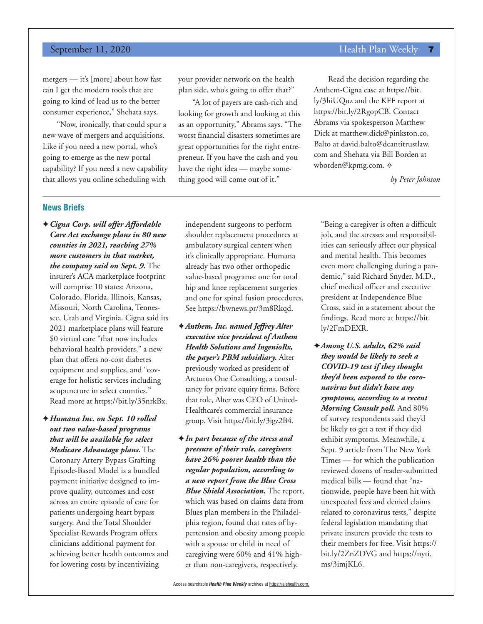mergers — it's [more] about how fast can I get the modern tools that are going to kind of lead us to the better consumer experience," Shehata says.

"Now, ironically, that could spur a new wave of mergers and acquisitions. Like if you need a new portal, who's going to emerge as the new portal capability? If you need a new capability that allows you online scheduling with

#### News Briefs

- ✦*Cigna Corp. will offer Affordable Care Act exchange plans in 80 new counties in 2021, reaching 27% more customers in that market, the company said on Sept. 9.* The insurer's ACA marketplace footprint will comprise 10 states: Arizona, Colorado, Florida, Illinois, Kansas, Missouri, North Carolina, Tennessee, Utah and Virginia. Cigna said its 2021 marketplace plans will feature \$0 virtual care "that now includes behavioral health providers," a new plan that offers no-cost diabetes equipment and supplies, and "coverage for holistic services including acupuncture in select counties." Read more at https://bit.ly/35nrkBx.
- ✦*Humana Inc. on Sept. 10 rolled out two value-based programs that will be available for select Medicare Advantage plans.* The Coronary Artery Bypass Grafting Episode-Based Model is a bundled payment initiative designed to improve quality, outcomes and cost across an entire episode of care for patients undergoing heart bypass surgery. And the Total Shoulder Specialist Rewards Program offers clinicians additional payment for achieving better health outcomes and for lowering costs by incentivizing

your provider network on the health plan side, who's going to offer that?"

"A lot of payers are cash-rich and looking for growth and looking at this as an opportunity," Abrams says. "The worst financial disasters sometimes are great opportunities for the right entrepreneur. If you have the cash and you have the right idea — maybe something good will come out of it."

Read the decision regarding the Anthem-Cigna case at https://bit. ly/3hiUQuz and the KFF report at https://bit.ly/2RgopCB. Contact Abrams via spokesperson Matthew Dick at matthew.dick@pinkston.co, Balto at david.balto@dcantitrustlaw. com and Shehata via Bill Borden at wborden@kpmg.com.  $\diamond$ 

*by Peter Johnson*

independent surgeons to perform shoulder replacement procedures at ambulatory surgical centers when it's clinically appropriate. Humana already has two other orthopedic value-based programs: one for total hip and knee replacement surgeries and one for spinal fusion procedures. See https://bwnews.pr/3m8Rkqd.

- ✦*Anthem, Inc. named Jeffrey Alter executive vice president of Anthem Health Solutions and IngenioRx, the payer's PBM subsidiary.* Alter previously worked as president of Arcturus One Consulting, a consultancy for private equity firms. Before that role, Alter was CEO of United-Healthcare's commercial insurance group. Visit https://bit.ly/3igz2B4.
- ✦*In part because of the stress and pressure of their role, caregivers have 26% poorer health than the regular population, according to a new report from the Blue Cross Blue Shield Association.* The report, which was based on claims data from Blues plan members in the Philadelphia region, found that rates of hypertension and obesity among people with a spouse or child in need of caregiving were 60% and 41% higher than non-caregivers, respectively.

"Being a caregiver is often a difficult job, and the stresses and responsibilities can seriously affect our physical and mental health. This becomes even more challenging during a pandemic," said Richard Snyder, M.D., chief medical officer and executive president at Independence Blue Cross, said in a statement about the findings. Read more at https://bit. ly/2FmDEXR.

✦*Among U.S. adults, 62% said they would be likely to seek a COVID-19 test if they thought they'd been exposed to the coronavirus but didn't have any symptoms, according to a recent Morning Consult poll.* And 80% of survey respondents said they'd be likely to get a test if they did exhibit symptoms. Meanwhile, a Sept. 9 article from The New York Times — for which the publication reviewed dozens of reader-submitted medical bills — found that "nationwide, people have been hit with unexpected fees and denied claims related to coronavirus tests," despite federal legislation mandating that private insurers provide the tests to their members for free. Visit https:// bit.ly/2ZnZDVG and https://nyti. ms/3imjKL6.

#### September 11, 2020 **Health Plan Weekly 7**